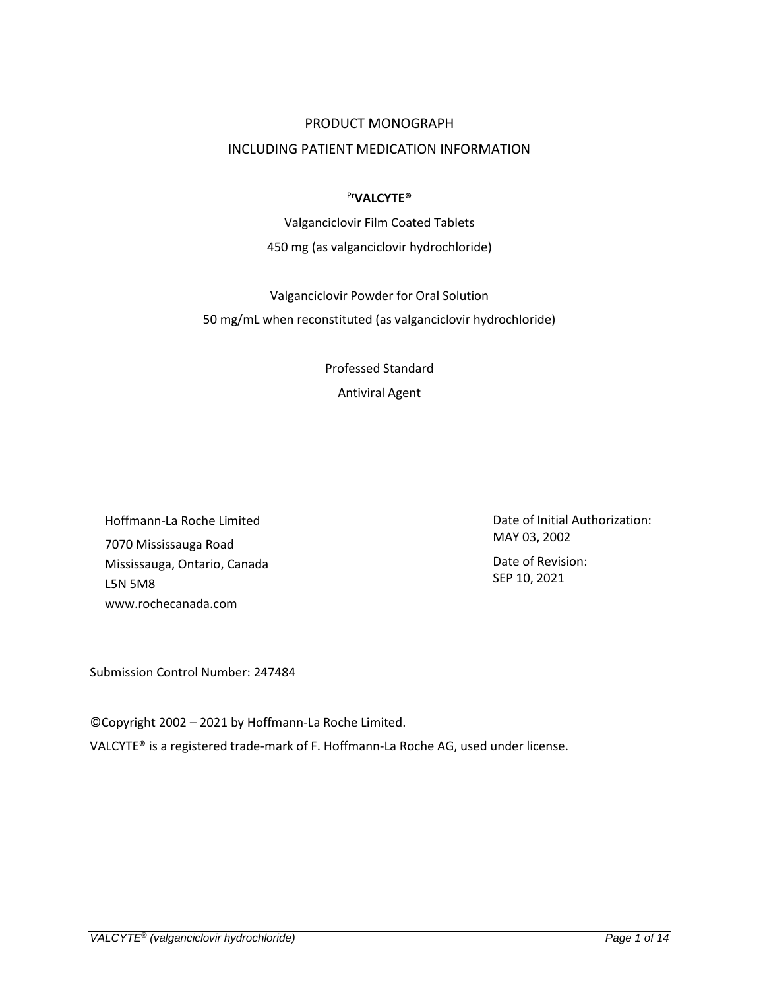## PRODUCT MONOGRAPH

# INCLUDING PATIENT MEDICATION INFORMATION

### Pr**VALCYTE®**

Valganciclovir Film Coated Tablets 450 mg (as valganciclovir hydrochloride)

Valganciclovir Powder for Oral Solution 50 mg/mL when reconstituted (as valganciclovir hydrochloride)

> Professed Standard Antiviral Agent

Hoffmann-La Roche Limited 7070 Mississauga Road Mississauga, Ontario, Canada L5N 5M8 www.rochecanada.com

Date of Initial Authorization: MAY 03, 2002 Date of Revision: SEP 10, 2021

Submission Control Number: 247484

©Copyright 2002 – 2021 by Hoffmann-La Roche Limited.

VALCYTE® is a registered trade-mark of F. Hoffmann-La Roche AG, used under license.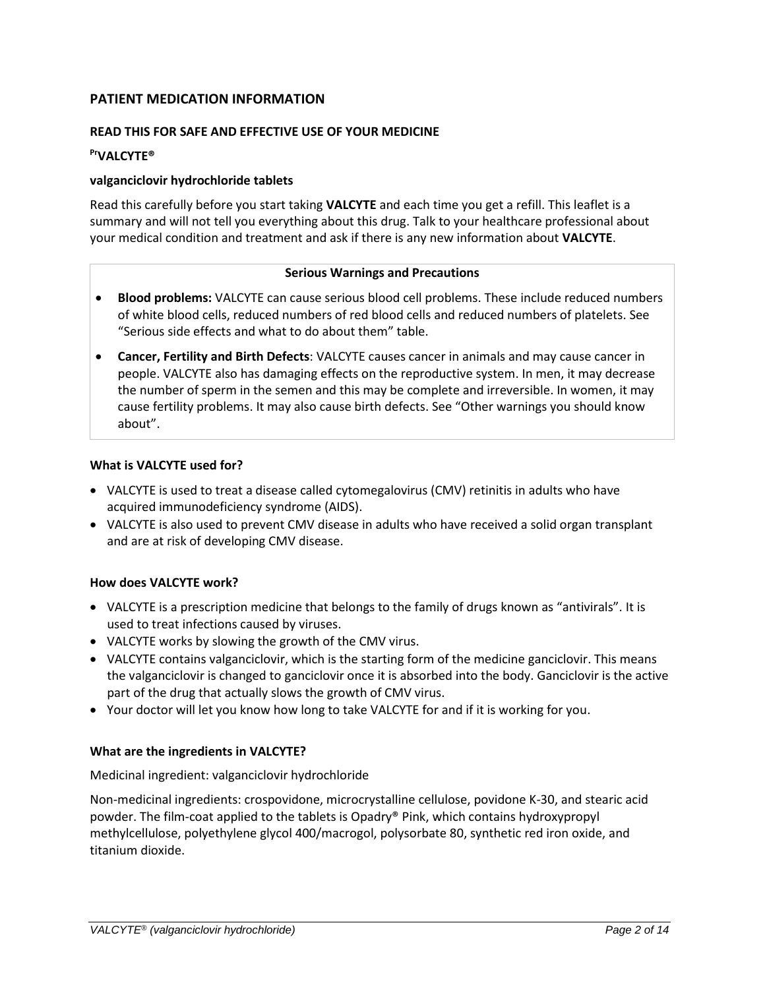# **PATIENT MEDICATION INFORMATION**

## **READ THIS FOR SAFE AND EFFECTIVE USE OF YOUR MEDICINE**

### **PrVALCYTE®**

### **valganciclovir hydrochloride tablets**

Read this carefully before you start taking **VALCYTE** and each time you get a refill. This leaflet is a summary and will not tell you everything about this drug. Talk to your healthcare professional about your medical condition and treatment and ask if there is any new information about **VALCYTE**.

#### **Serious Warnings and Precautions**

- **Blood problems:** VALCYTE can cause serious blood cell problems. These include reduced numbers of white blood cells, reduced numbers of red blood cells and reduced numbers of platelets. See "Serious side effects and what to do about them" table.
- **Cancer, Fertility and Birth Defects**: VALCYTE causes cancer in animals and may cause cancer in people. VALCYTE also has damaging effects on the reproductive system. In men, it may decrease the number of sperm in the semen and this may be complete and irreversible. In women, it may cause fertility problems. It may also cause birth defects. See "Other warnings you should know about".

#### **What is VALCYTE used for?**

- VALCYTE is used to treat a disease called cytomegalovirus (CMV) retinitis in adults who have acquired immunodeficiency syndrome (AIDS).
- VALCYTE is also used to prevent CMV disease in adults who have received a solid organ transplant and are at risk of developing CMV disease.

### **How does VALCYTE work?**

- VALCYTE is a prescription medicine that belongs to the family of drugs known as "antivirals". It is used to treat infections caused by viruses.
- VALCYTE works by slowing the growth of the CMV virus.
- VALCYTE contains valganciclovir, which is the starting form of the medicine ganciclovir. This means the valganciclovir is changed to ganciclovir once it is absorbed into the body. Ganciclovir is the active part of the drug that actually slows the growth of CMV virus.
- Your doctor will let you know how long to take VALCYTE for and if it is working for you.

### **What are the ingredients in VALCYTE?**

#### Medicinal ingredient: valganciclovir hydrochloride

Non-medicinal ingredients: crospovidone, microcrystalline cellulose, povidone K-30, and stearic acid powder. The film-coat applied to the tablets is Opadry® Pink, which contains hydroxypropyl methylcellulose, polyethylene glycol 400/macrogol, polysorbate 80, synthetic red iron oxide, and titanium dioxide.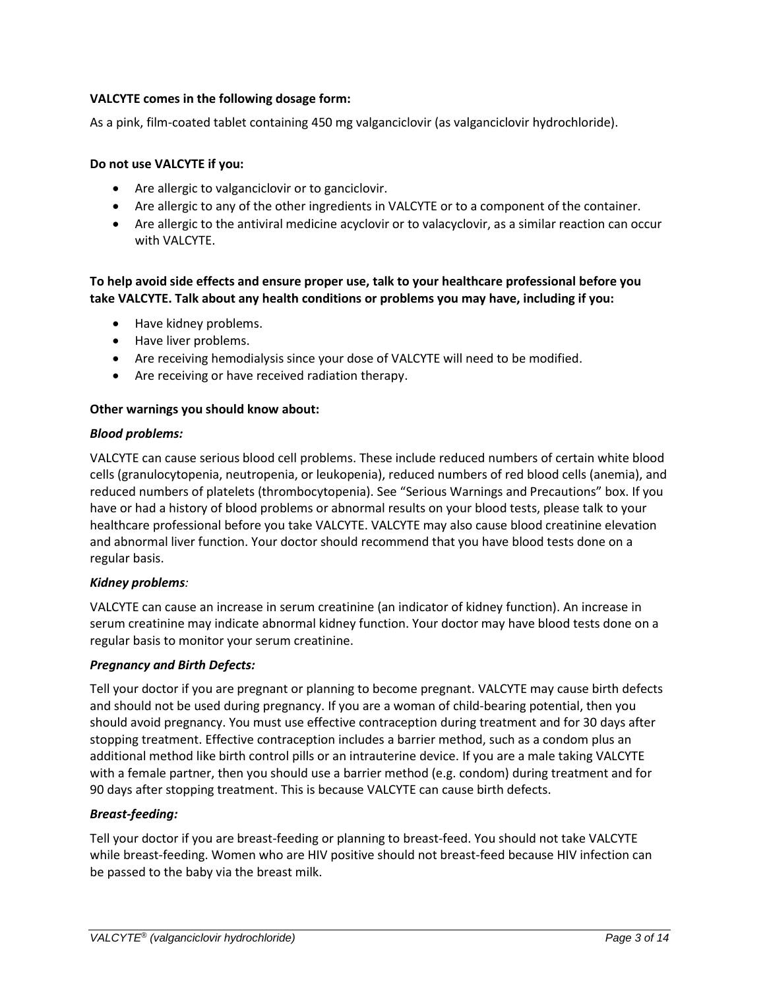# **VALCYTE comes in the following dosage form:**

As a pink, film-coated tablet containing 450 mg valganciclovir (as valganciclovir hydrochloride).

### **Do not use VALCYTE if you:**

- Are allergic to valganciclovir or to ganciclovir.
- Are allergic to any of the other ingredients in VALCYTE or to a component of the container.
- Are allergic to the antiviral medicine acyclovir or to valacyclovir, as a similar reaction can occur with VALCYTE.

# **To help avoid side effects and ensure proper use, talk to your healthcare professional before you take VALCYTE. Talk about any health conditions or problems you may have, including if you:**

- Have kidney problems.
- Have liver problems.
- Are receiving hemodialysis since your dose of VALCYTE will need to be modified.
- Are receiving or have received radiation therapy.

#### **Other warnings you should know about:**

#### *Blood problems:*

VALCYTE can cause serious blood cell problems. These include reduced numbers of certain white blood cells (granulocytopenia, neutropenia, or leukopenia), reduced numbers of red blood cells (anemia), and reduced numbers of platelets (thrombocytopenia). See "Serious Warnings and Precautions" box. If you have or had a history of blood problems or abnormal results on your blood tests, please talk to your healthcare professional before you take VALCYTE. VALCYTE may also cause blood creatinine elevation and abnormal liver function. Your doctor should recommend that you have blood tests done on a regular basis.

### *Kidney problems:*

VALCYTE can cause an increase in serum creatinine (an indicator of kidney function). An increase in serum creatinine may indicate abnormal kidney function. Your doctor may have blood tests done on a regular basis to monitor your serum creatinine.

### *Pregnancy and Birth Defects:*

Tell your doctor if you are pregnant or planning to become pregnant. VALCYTE may cause birth defects and should not be used during pregnancy. If you are a woman of child-bearing potential, then you should avoid pregnancy. You must use effective contraception during treatment and for 30 days after stopping treatment. Effective contraception includes a barrier method, such as a condom plus an additional method like birth control pills or an intrauterine device. If you are a male taking VALCYTE with a female partner, then you should use a barrier method (e.g. condom) during treatment and for 90 days after stopping treatment. This is because VALCYTE can cause birth defects.

### *Breast-feeding:*

Tell your doctor if you are breast-feeding or planning to breast-feed. You should not take VALCYTE while breast-feeding. Women who are HIV positive should not breast-feed because HIV infection can be passed to the baby via the breast milk.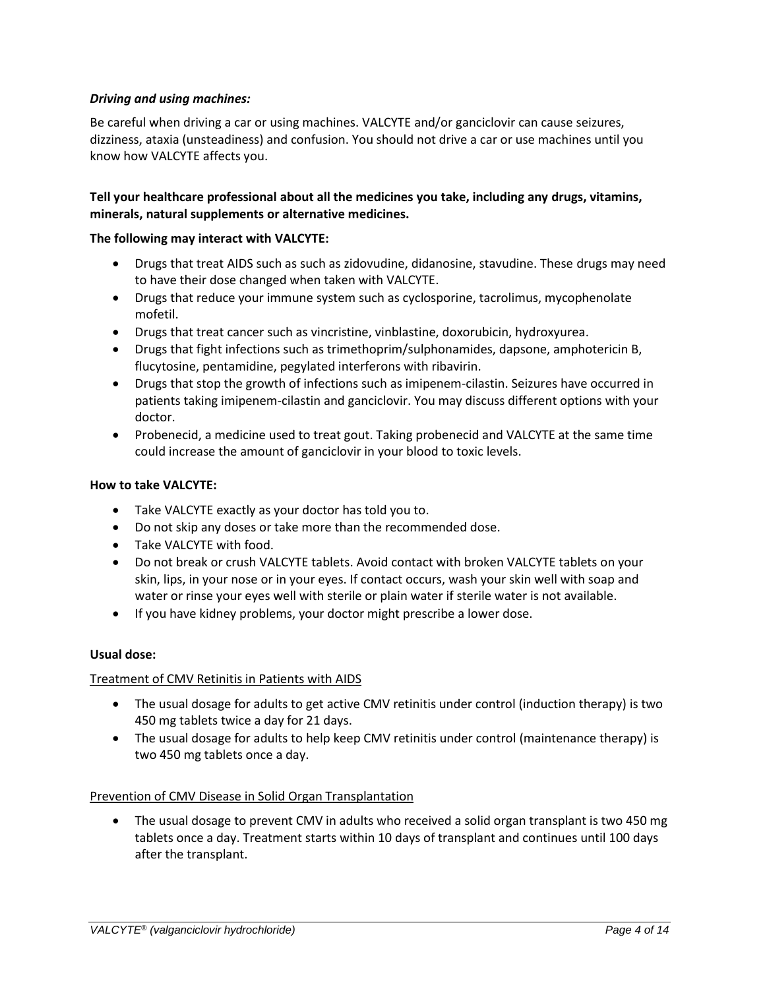## *Driving and using machines:*

Be careful when driving a car or using machines. VALCYTE and/or ganciclovir can cause seizures, dizziness, ataxia (unsteadiness) and confusion. You should not drive a car or use machines until you know how VALCYTE affects you.

## **Tell your healthcare professional about all the medicines you take, including any drugs, vitamins, minerals, natural supplements or alternative medicines.**

### **The following may interact with VALCYTE:**

- Drugs that treat AIDS such as such as zidovudine, didanosine, stavudine. These drugs may need to have their dose changed when taken with VALCYTE.
- Drugs that reduce your immune system such as cyclosporine, tacrolimus, mycophenolate mofetil.
- Drugs that treat cancer such as vincristine, vinblastine, doxorubicin, hydroxyurea.
- Drugs that fight infections such as trimethoprim/sulphonamides, dapsone, amphotericin B, flucytosine, pentamidine, pegylated interferons with ribavirin.
- Drugs that stop the growth of infections such as imipenem-cilastin. Seizures have occurred in patients taking imipenem-cilastin and ganciclovir. You may discuss different options with your doctor.
- Probenecid, a medicine used to treat gout. Taking probenecid and VALCYTE at the same time could increase the amount of ganciclovir in your blood to toxic levels.

#### **How to take VALCYTE:**

- Take VALCYTE exactly as your doctor has told you to.
- Do not skip any doses or take more than the recommended dose.
- Take VALCYTE with food.
- Do not break or crush VALCYTE tablets. Avoid contact with broken VALCYTE tablets on your skin, lips, in your nose or in your eyes. If contact occurs, wash your skin well with soap and water or rinse your eyes well with sterile or plain water if sterile water is not available.
- If you have kidney problems, your doctor might prescribe a lower dose.

### **Usual dose:**

### Treatment of CMV Retinitis in Patients with AIDS

- The usual dosage for adults to get active CMV retinitis under control (induction therapy) is two 450 mg tablets twice a day for 21 days.
- The usual dosage for adults to help keep CMV retinitis under control (maintenance therapy) is two 450 mg tablets once a day.

### Prevention of CMV Disease in Solid Organ Transplantation

• The usual dosage to prevent CMV in adults who received a solid organ transplant is two 450 mg tablets once a day. Treatment starts within 10 days of transplant and continues until 100 days after the transplant.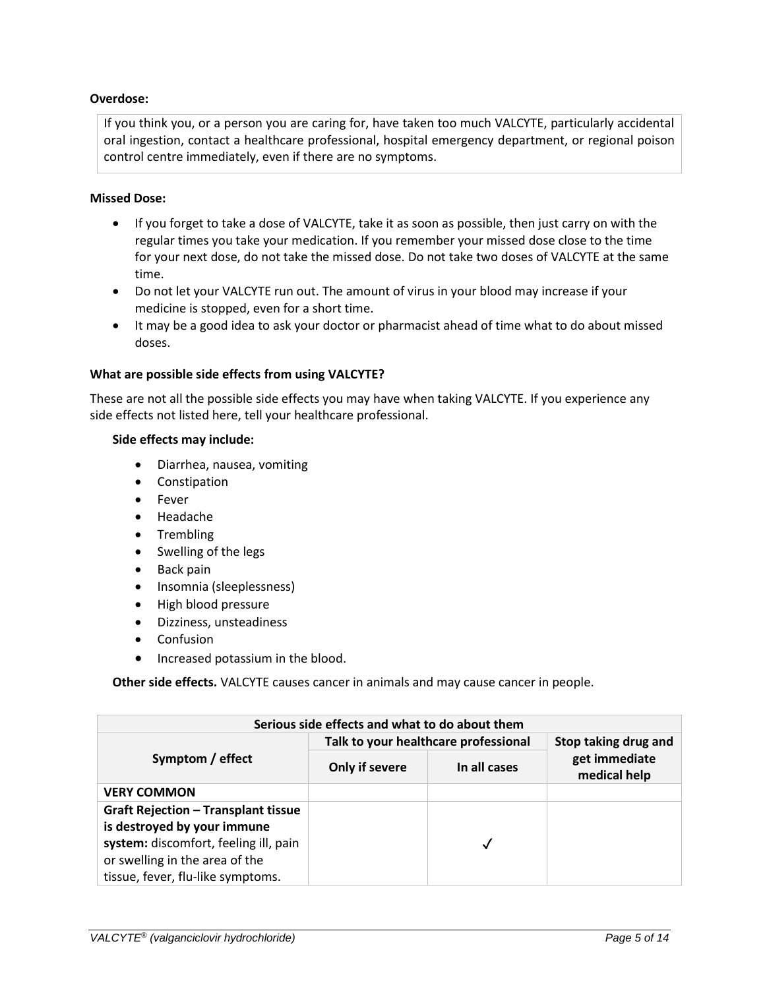### **Overdose:**

If you think you, or a person you are caring for, have taken too much VALCYTE, particularly accidental oral ingestion, contact a healthcare professional, hospital emergency department, or regional poison control centre immediately, even if there are no symptoms.

### **Missed Dose:**

- If you forget to take a dose of VALCYTE, take it as soon as possible, then just carry on with the regular times you take your medication. If you remember your missed dose close to the time for your next dose, do not take the missed dose. Do not take two doses of VALCYTE at the same time.
- Do not let your VALCYTE run out. The amount of virus in your blood may increase if your medicine is stopped, even for a short time.
- It may be a good idea to ask your doctor or pharmacist ahead of time what to do about missed doses.

### **What are possible side effects from using VALCYTE?**

These are not all the possible side effects you may have when taking VALCYTE. If you experience any side effects not listed here, tell your healthcare professional.

### **Side effects may include:**

- Diarrhea, nausea, vomiting
- Constipation
- Fever
- Headache
- Trembling
- Swelling of the legs
- Back pain
- Insomnia (sleeplessness)
- High blood pressure
- Dizziness, unsteadiness
- Confusion
- Increased potassium in the blood.

**Other side effects.** VALCYTE causes cancer in animals and may cause cancer in people.

| Serious side effects and what to do about them |                                      |              |                               |  |  |
|------------------------------------------------|--------------------------------------|--------------|-------------------------------|--|--|
| Symptom / effect                               | Talk to your healthcare professional |              | Stop taking drug and          |  |  |
|                                                | Only if severe                       | In all cases | get immediate<br>medical help |  |  |
| <b>VERY COMMON</b>                             |                                      |              |                               |  |  |
| <b>Graft Rejection - Transplant tissue</b>     |                                      |              |                               |  |  |
| is destroyed by your immune                    |                                      |              |                               |  |  |
| system: discomfort, feeling ill, pain          |                                      |              |                               |  |  |
| or swelling in the area of the                 |                                      |              |                               |  |  |
| tissue, fever, flu-like symptoms.              |                                      |              |                               |  |  |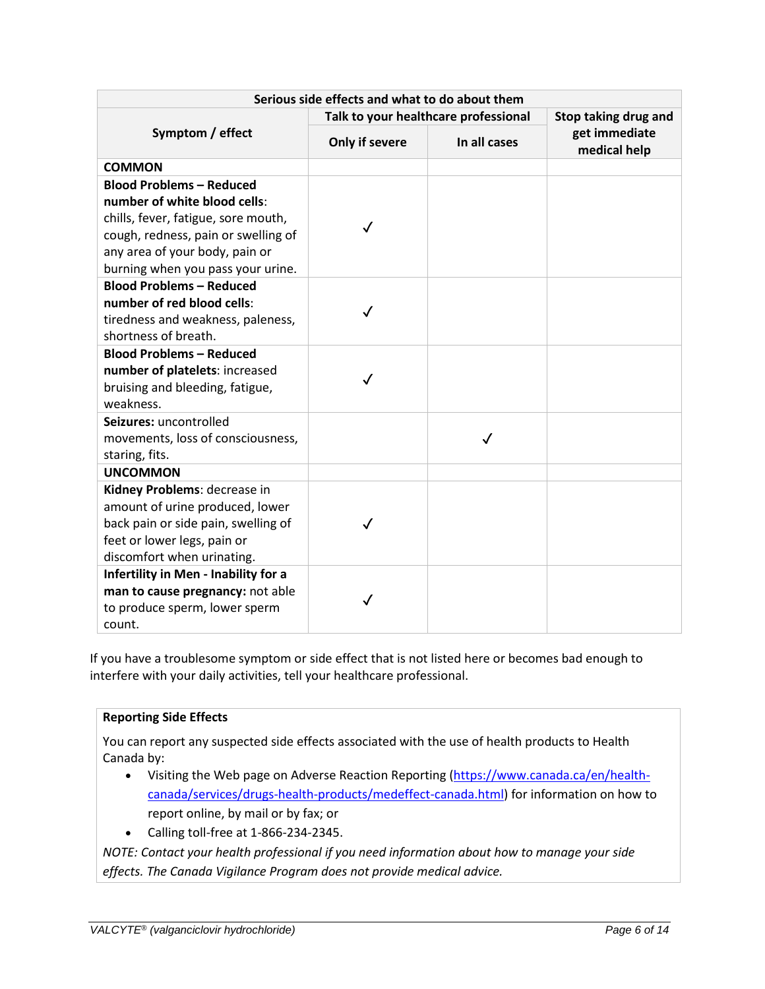| Serious side effects and what to do about them                                                                                                                                                                       |                                      |              |                               |  |  |
|----------------------------------------------------------------------------------------------------------------------------------------------------------------------------------------------------------------------|--------------------------------------|--------------|-------------------------------|--|--|
| Symptom / effect                                                                                                                                                                                                     | Talk to your healthcare professional |              | Stop taking drug and          |  |  |
|                                                                                                                                                                                                                      | Only if severe                       | In all cases | get immediate<br>medical help |  |  |
| <b>COMMON</b>                                                                                                                                                                                                        |                                      |              |                               |  |  |
| <b>Blood Problems - Reduced</b><br>number of white blood cells:<br>chills, fever, fatigue, sore mouth,<br>cough, redness, pain or swelling of<br>any area of your body, pain or<br>burning when you pass your urine. | $\checkmark$                         |              |                               |  |  |
| <b>Blood Problems - Reduced</b>                                                                                                                                                                                      |                                      |              |                               |  |  |
| number of red blood cells:<br>tiredness and weakness, paleness,<br>shortness of breath.                                                                                                                              | ✓                                    |              |                               |  |  |
| <b>Blood Problems - Reduced</b><br>number of platelets: increased<br>bruising and bleeding, fatigue,<br>weakness.                                                                                                    | ✓                                    |              |                               |  |  |
| Seizures: uncontrolled<br>movements, loss of consciousness,<br>staring, fits.                                                                                                                                        |                                      | $\checkmark$ |                               |  |  |
| <b>UNCOMMON</b>                                                                                                                                                                                                      |                                      |              |                               |  |  |
| Kidney Problems: decrease in<br>amount of urine produced, lower<br>back pain or side pain, swelling of<br>feet or lower legs, pain or<br>discomfort when urinating.                                                  | ✓                                    |              |                               |  |  |
| Infertility in Men - Inability for a<br>man to cause pregnancy: not able<br>to produce sperm, lower sperm<br>count.                                                                                                  | ✓                                    |              |                               |  |  |

If you have a troublesome symptom or side effect that is not listed here or becomes bad enough to interfere with your daily activities, tell your healthcare professional.

# **Reporting Side Effects**

You can report any suspected side effects associated with the use of health products to Health Canada by:

- Visiting the Web page on Adverse Reaction Reporting [\(https://www.canada.ca/en/health](https://www.canada.ca/en/health-canada/services/drugs-health-products/medeffect-canada.html)[canada/services/drugs-health-products/medeffect-canada.html\)](https://www.canada.ca/en/health-canada/services/drugs-health-products/medeffect-canada.html) for information on how to report online, by mail or by fax; or
- Calling toll-free at 1-866-234-2345.

*NOTE: Contact your health professional if you need information about how to manage your side effects. The Canada Vigilance Program does not provide medical advice.*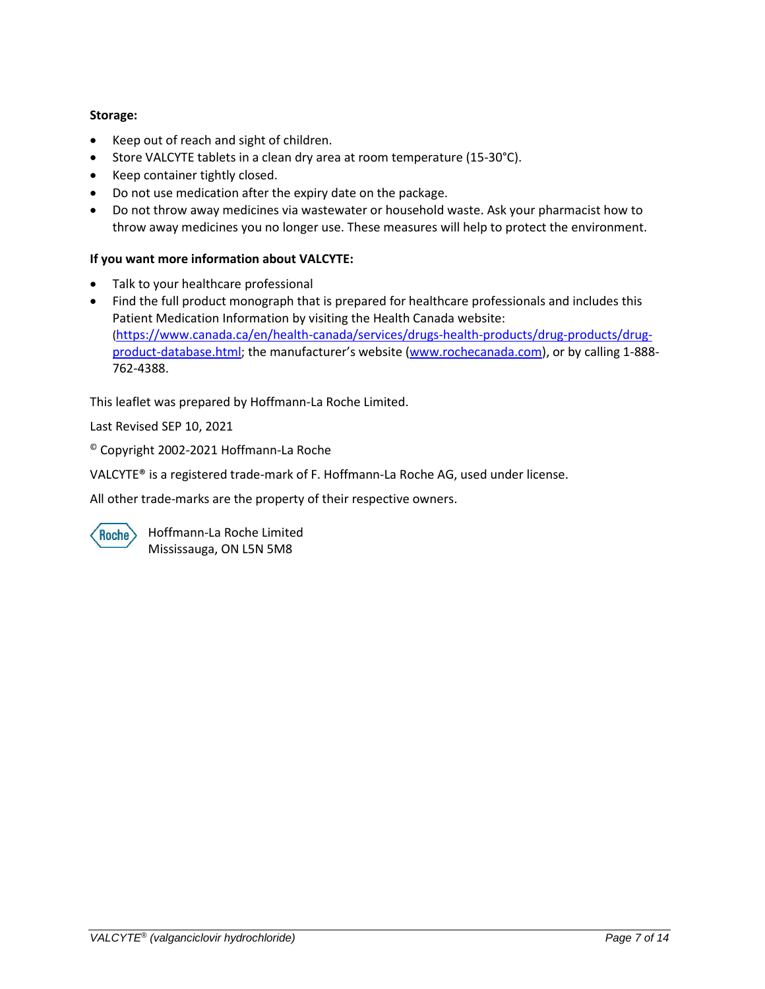# **Storage:**

- Keep out of reach and sight of children.
- Store VALCYTE tablets in a clean dry area at room temperature (15-30°C).
- Keep container tightly closed.
- Do not use medication after the expiry date on the package.
- Do not throw away medicines via wastewater or household waste. Ask your pharmacist how to throw away medicines you no longer use. These measures will help to protect the environment.

# **If you want more information about VALCYTE:**

- Talk to your healthcare professional
- Find the full product monograph that is prepared for healthcare professionals and includes this Patient Medication Information by visiting the Health Canada website: ([https://www.canada.ca/en/health-canada/services/drugs-health-products/drug-products/drug](https://www.canada.ca/en/health-canada/services/drugs-health-products/drug-products/drug-product-database.html)[product-database.html;](https://www.canada.ca/en/health-canada/services/drugs-health-products/drug-products/drug-product-database.html) the manufacturer's website [\(www.rochecanada.com\)](file:///C:/Users/tej1/Desktop/2020%20PM%20Template%20-%20Transfer/VALCYTE/www.rochecanada.com), or by calling 1-888-762-4388.

This leaflet was prepared by Hoffmann-La Roche Limited.

Last Revised SEP 10, 2021

© Copyright 2002-2021 Hoffmann-La Roche

VALCYTE® is a registered trade-mark of F. Hoffmann-La Roche AG, used under license.

All other trade-marks are the property of their respective owners.

**Roche** 

Hoffmann-La Roche Limited Mississauga, ON L5N 5M8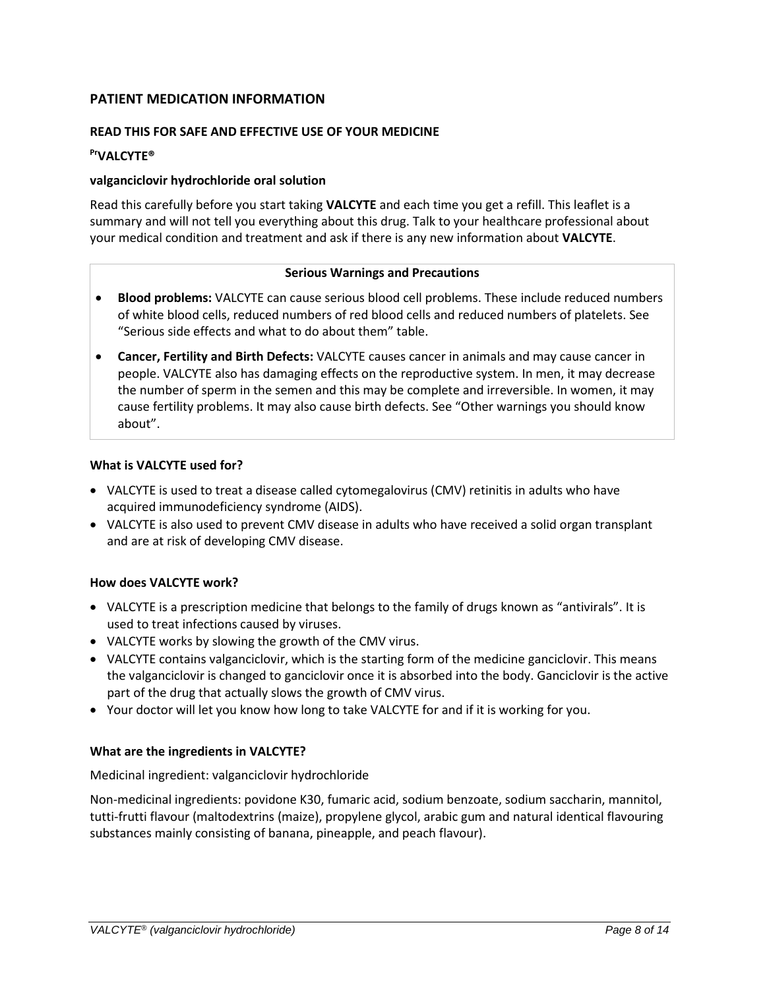# **PATIENT MEDICATION INFORMATION**

# **READ THIS FOR SAFE AND EFFECTIVE USE OF YOUR MEDICINE**

### **PrVALCYTE®**

#### **valganciclovir hydrochloride oral solution**

Read this carefully before you start taking **VALCYTE** and each time you get a refill. This leaflet is a summary and will not tell you everything about this drug. Talk to your healthcare professional about your medical condition and treatment and ask if there is any new information about **VALCYTE**.

#### **Serious Warnings and Precautions**

- **Blood problems:** VALCYTE can cause serious blood cell problems. These include reduced numbers of white blood cells, reduced numbers of red blood cells and reduced numbers of platelets. See "Serious side effects and what to do about them" table.
- **Cancer, Fertility and Birth Defects:** VALCYTE causes cancer in animals and may cause cancer in people. VALCYTE also has damaging effects on the reproductive system. In men, it may decrease the number of sperm in the semen and this may be complete and irreversible. In women, it may cause fertility problems. It may also cause birth defects. See "Other warnings you should know about".

#### **What is VALCYTE used for?**

- VALCYTE is used to treat a disease called cytomegalovirus (CMV) retinitis in adults who have acquired immunodeficiency syndrome (AIDS).
- VALCYTE is also used to prevent CMV disease in adults who have received a solid organ transplant and are at risk of developing CMV disease.

### **How does VALCYTE work?**

- VALCYTE is a prescription medicine that belongs to the family of drugs known as "antivirals". It is used to treat infections caused by viruses.
- VALCYTE works by slowing the growth of the CMV virus.
- VALCYTE contains valganciclovir, which is the starting form of the medicine ganciclovir. This means the valganciclovir is changed to ganciclovir once it is absorbed into the body. Ganciclovir is the active part of the drug that actually slows the growth of CMV virus.
- Your doctor will let you know how long to take VALCYTE for and if it is working for you.

### **What are the ingredients in VALCYTE?**

### Medicinal ingredient: valganciclovir hydrochloride

Non-medicinal ingredients: povidone K30, fumaric acid, sodium benzoate, sodium saccharin, mannitol, tutti-frutti flavour (maltodextrins (maize), propylene glycol, arabic gum and natural identical flavouring substances mainly consisting of banana, pineapple, and peach flavour).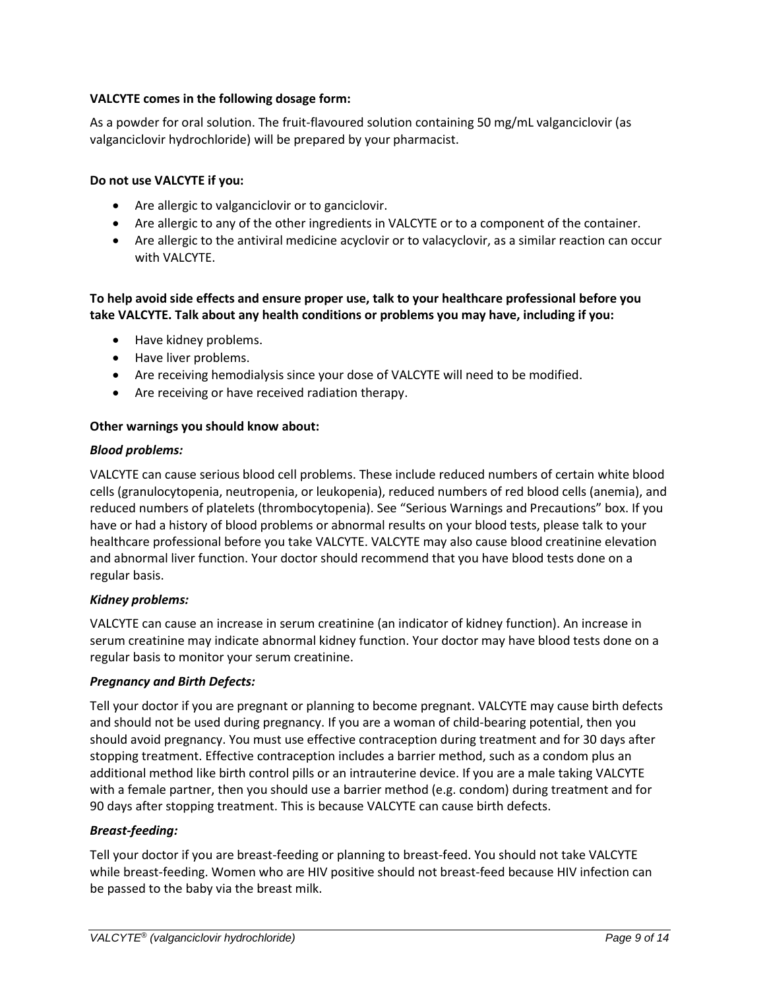# **VALCYTE comes in the following dosage form:**

As a powder for oral solution. The fruit-flavoured solution containing 50 mg/mL valganciclovir (as valganciclovir hydrochloride) will be prepared by your pharmacist.

### **Do not use VALCYTE if you:**

- Are allergic to valganciclovir or to ganciclovir.
- Are allergic to any of the other ingredients in VALCYTE or to a component of the container.
- Are allergic to the antiviral medicine acyclovir or to valacyclovir, as a similar reaction can occur with VALCYTE.

# **To help avoid side effects and ensure proper use, talk to your healthcare professional before you take VALCYTE. Talk about any health conditions or problems you may have, including if you:**

- Have kidney problems.
- Have liver problems.
- Are receiving hemodialysis since your dose of VALCYTE will need to be modified.
- Are receiving or have received radiation therapy.

# **Other warnings you should know about:**

### *Blood problems:*

VALCYTE can cause serious blood cell problems. These include reduced numbers of certain white blood cells (granulocytopenia, neutropenia, or leukopenia), reduced numbers of red blood cells (anemia), and reduced numbers of platelets (thrombocytopenia). See "Serious Warnings and Precautions" box. If you have or had a history of blood problems or abnormal results on your blood tests, please talk to your healthcare professional before you take VALCYTE. VALCYTE may also cause blood creatinine elevation and abnormal liver function. Your doctor should recommend that you have blood tests done on a regular basis.

### *Kidney problems:*

VALCYTE can cause an increase in serum creatinine (an indicator of kidney function). An increase in serum creatinine may indicate abnormal kidney function. Your doctor may have blood tests done on a regular basis to monitor your serum creatinine.

### *Pregnancy and Birth Defects:*

Tell your doctor if you are pregnant or planning to become pregnant. VALCYTE may cause birth defects and should not be used during pregnancy. If you are a woman of child-bearing potential, then you should avoid pregnancy. You must use effective contraception during treatment and for 30 days after stopping treatment. Effective contraception includes a barrier method, such as a condom plus an additional method like birth control pills or an intrauterine device. If you are a male taking VALCYTE with a female partner, then you should use a barrier method (e.g. condom) during treatment and for 90 days after stopping treatment. This is because VALCYTE can cause birth defects.

# *Breast-feeding:*

Tell your doctor if you are breast-feeding or planning to breast-feed. You should not take VALCYTE while breast-feeding. Women who are HIV positive should not breast-feed because HIV infection can be passed to the baby via the breast milk.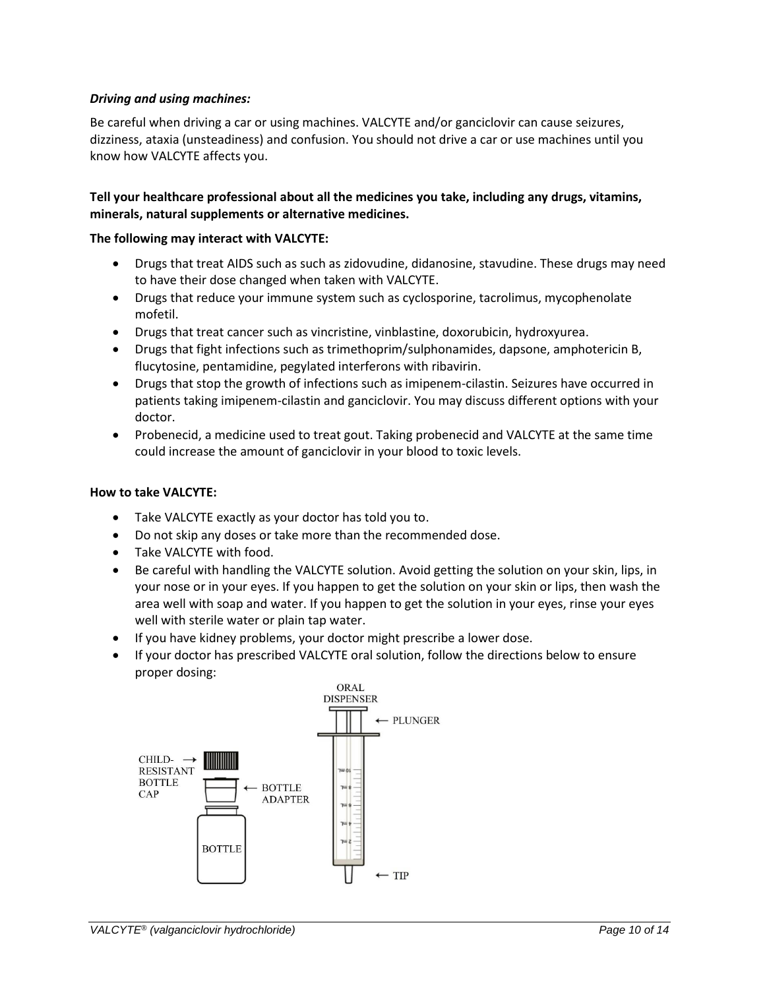### *Driving and using machines:*

Be careful when driving a car or using machines. VALCYTE and/or ganciclovir can cause seizures, dizziness, ataxia (unsteadiness) and confusion. You should not drive a car or use machines until you know how VALCYTE affects you.

## **Tell your healthcare professional about all the medicines you take, including any drugs, vitamins, minerals, natural supplements or alternative medicines.**

### **The following may interact with VALCYTE:**

- Drugs that treat AIDS such as such as zidovudine, didanosine, stavudine. These drugs may need to have their dose changed when taken with VALCYTE.
- Drugs that reduce your immune system such as cyclosporine, tacrolimus, mycophenolate mofetil.
- Drugs that treat cancer such as vincristine, vinblastine, doxorubicin, hydroxyurea.
- Drugs that fight infections such as trimethoprim/sulphonamides, dapsone, amphotericin B, flucytosine, pentamidine, pegylated interferons with ribavirin.
- Drugs that stop the growth of infections such as imipenem-cilastin. Seizures have occurred in patients taking imipenem-cilastin and ganciclovir. You may discuss different options with your doctor.
- Probenecid, a medicine used to treat gout. Taking probenecid and VALCYTE at the same time could increase the amount of ganciclovir in your blood to toxic levels.

### **How to take VALCYTE:**

- Take VALCYTE exactly as your doctor has told you to.
- Do not skip any doses or take more than the recommended dose.
- Take VALCYTE with food.
- Be careful with handling the VALCYTE solution. Avoid getting the solution on your skin, lips, in your nose or in your eyes. If you happen to get the solution on your skin or lips, then wash the area well with soap and water. If you happen to get the solution in your eyes, rinse your eyes well with sterile water or plain tap water.
- If you have kidney problems, your doctor might prescribe a lower dose.
- If your doctor has prescribed VALCYTE oral solution, follow the directions below to ensure proper dosing:

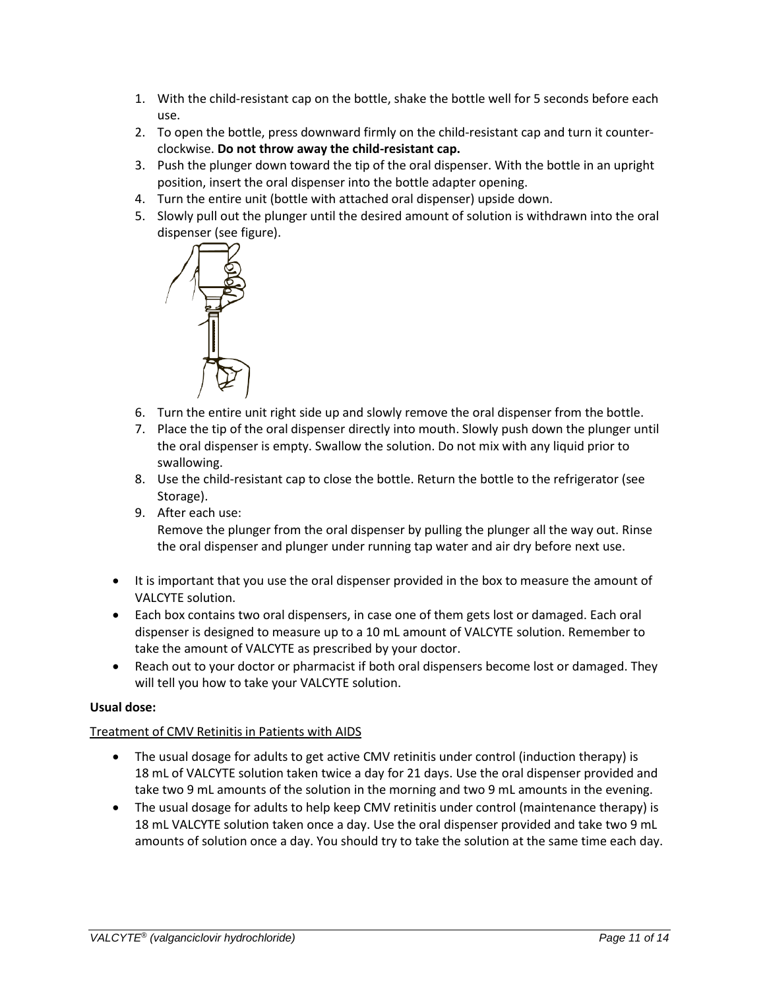- 1. With the child-resistant cap on the bottle, shake the bottle well for 5 seconds before each use.
- 2. To open the bottle, press downward firmly on the child-resistant cap and turn it counterclockwise. **Do not throw away the child-resistant cap.**
- 3. Push the plunger down toward the tip of the oral dispenser. With the bottle in an upright position, insert the oral dispenser into the bottle adapter opening.
- 4. Turn the entire unit (bottle with attached oral dispenser) upside down.
- 5. Slowly pull out the plunger until the desired amount of solution is withdrawn into the oral dispenser (see figure).



- 6. Turn the entire unit right side up and slowly remove the oral dispenser from the bottle.
- 7. Place the tip of the oral dispenser directly into mouth. Slowly push down the plunger until the oral dispenser is empty. Swallow the solution. Do not mix with any liquid prior to swallowing.
- 8. Use the child-resistant cap to close the bottle. Return the bottle to the refrigerator (see Storage).
- 9. After each use: Remove the plunger from the oral dispenser by pulling the plunger all the way out. Rinse the oral dispenser and plunger under running tap water and air dry before next use.
- It is important that you use the oral dispenser provided in the box to measure the amount of VALCYTE solution.
- Each box contains two oral dispensers, in case one of them gets lost or damaged. Each oral dispenser is designed to measure up to a 10 mL amount of VALCYTE solution. Remember to take the amount of VALCYTE as prescribed by your doctor.
- Reach out to your doctor or pharmacist if both oral dispensers become lost or damaged. They will tell you how to take your VALCYTE solution.

# **Usual dose:**

### Treatment of CMV Retinitis in Patients with AIDS

- The usual dosage for adults to get active CMV retinitis under control (induction therapy) is 18 mL of VALCYTE solution taken twice a day for 21 days. Use the oral dispenser provided and take two 9 mL amounts of the solution in the morning and two 9 mL amounts in the evening.
- The usual dosage for adults to help keep CMV retinitis under control (maintenance therapy) is 18 mL VALCYTE solution taken once a day. Use the oral dispenser provided and take two 9 mL amounts of solution once a day. You should try to take the solution at the same time each day.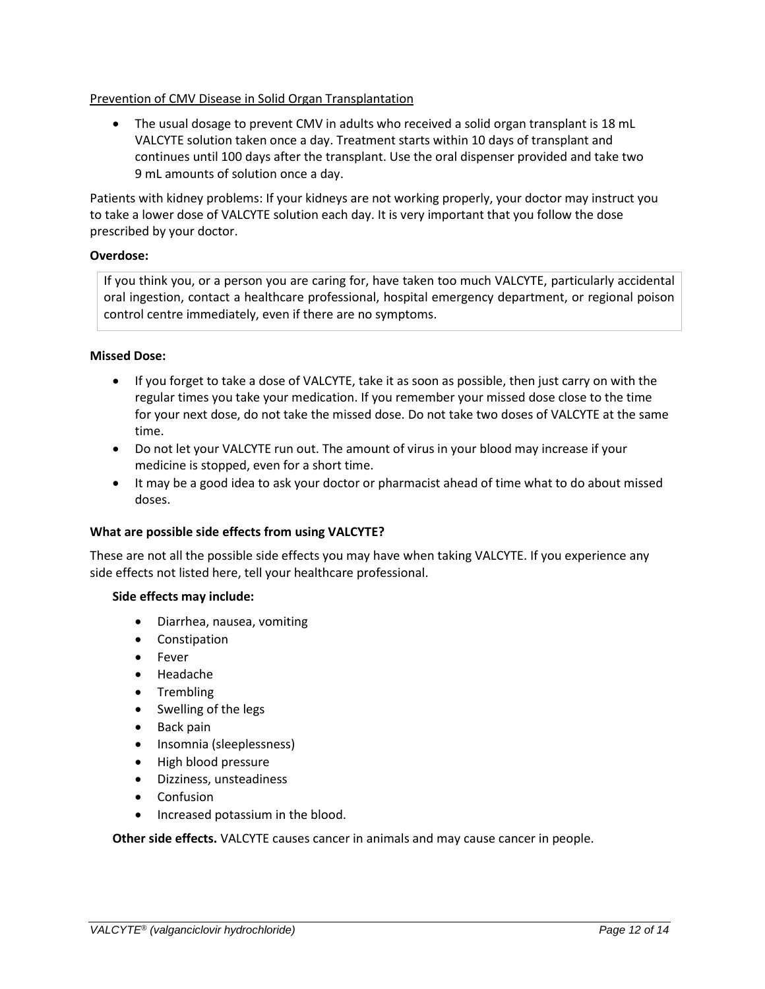### Prevention of CMV Disease in Solid Organ Transplantation

 The usual dosage to prevent CMV in adults who received a solid organ transplant is 18 mL VALCYTE solution taken once a day. Treatment starts within 10 days of transplant and continues until 100 days after the transplant. Use the oral dispenser provided and take two 9 mL amounts of solution once a day.

Patients with kidney problems: If your kidneys are not working properly, your doctor may instruct you to take a lower dose of VALCYTE solution each day. It is very important that you follow the dose prescribed by your doctor.

### **Overdose:**

If you think you, or a person you are caring for, have taken too much VALCYTE, particularly accidental oral ingestion, contact a healthcare professional, hospital emergency department, or regional poison control centre immediately, even if there are no symptoms.

### **Missed Dose:**

- If you forget to take a dose of VALCYTE, take it as soon as possible, then just carry on with the regular times you take your medication. If you remember your missed dose close to the time for your next dose, do not take the missed dose. Do not take two doses of VALCYTE at the same time.
- Do not let your VALCYTE run out. The amount of virus in your blood may increase if your medicine is stopped, even for a short time.
- It may be a good idea to ask your doctor or pharmacist ahead of time what to do about missed doses.

### **What are possible side effects from using VALCYTE?**

These are not all the possible side effects you may have when taking VALCYTE. If you experience any side effects not listed here, tell your healthcare professional.

### **Side effects may include:**

- Diarrhea, nausea, vomiting
- Constipation
- Fever
- Headache
- Trembling
- Swelling of the legs
- Back pain
- Insomnia (sleeplessness)
- High blood pressure
- Dizziness, unsteadiness
- Confusion
- Increased potassium in the blood.

**Other side effects.** VALCYTE causes cancer in animals and may cause cancer in people.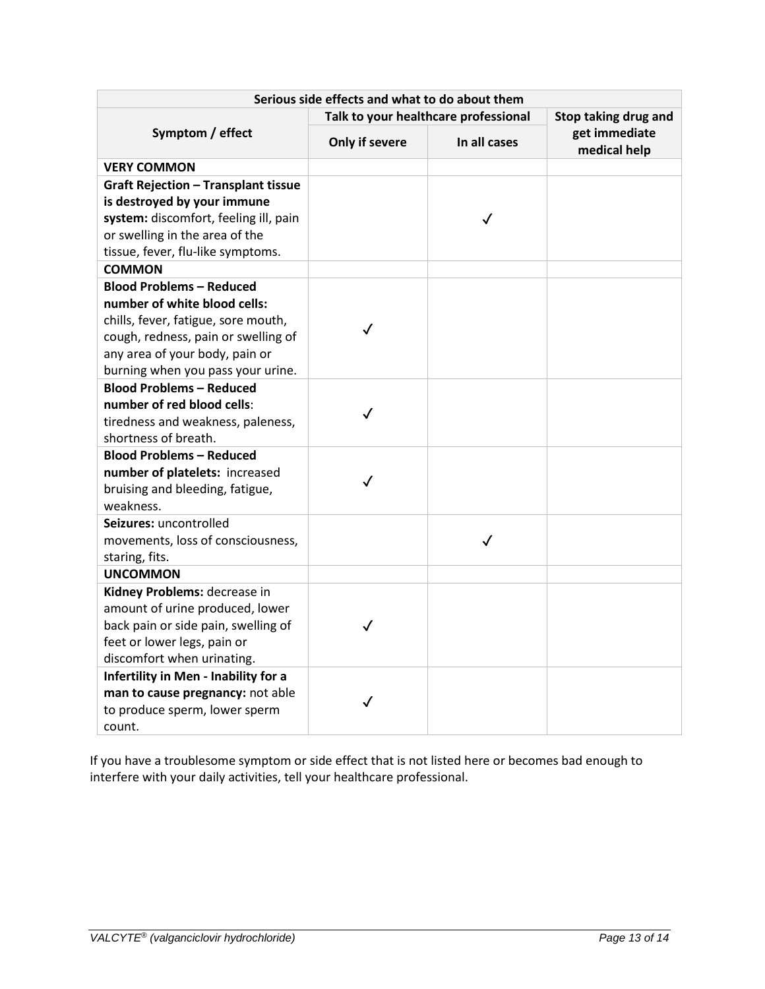| Talk to your healthcare professional<br>Stop taking drug and<br>get immediate<br>Symptom / effect<br>In all cases<br>Only if severe<br>medical help<br><b>VERY COMMON</b><br><b>Graft Rejection - Transplant tissue</b><br>is destroyed by your immune<br>system: discomfort, feeling ill, pain<br>✓<br>or swelling in the area of the<br>tissue, fever, flu-like symptoms.<br><b>COMMON</b><br><b>Blood Problems - Reduced</b><br>number of white blood cells:<br>chills, fever, fatigue, sore mouth,<br>$\checkmark$<br>cough, redness, pain or swelling of<br>any area of your body, pain or<br>burning when you pass your urine.<br><b>Blood Problems - Reduced</b><br>number of red blood cells:<br>$\checkmark$<br>tiredness and weakness, paleness,<br>shortness of breath.<br><b>Blood Problems - Reduced</b><br>number of platelets: increased<br>$\checkmark$<br>bruising and bleeding, fatigue,<br>weakness.<br>Seizures: uncontrolled<br>movements, loss of consciousness,<br>$\checkmark$<br>staring, fits.<br><b>UNCOMMON</b><br>Kidney Problems: decrease in<br>amount of urine produced, lower<br>back pain or side pain, swelling of<br>$\checkmark$<br>feet or lower legs, pain or<br>discomfort when urinating.<br>Infertility in Men - Inability for a<br>man to cause pregnancy: not able<br>$\checkmark$<br>to produce sperm, lower sperm | Serious side effects and what to do about them |  |  |  |  |  |
|-----------------------------------------------------------------------------------------------------------------------------------------------------------------------------------------------------------------------------------------------------------------------------------------------------------------------------------------------------------------------------------------------------------------------------------------------------------------------------------------------------------------------------------------------------------------------------------------------------------------------------------------------------------------------------------------------------------------------------------------------------------------------------------------------------------------------------------------------------------------------------------------------------------------------------------------------------------------------------------------------------------------------------------------------------------------------------------------------------------------------------------------------------------------------------------------------------------------------------------------------------------------------------------------------------------------------------------------------------------------|------------------------------------------------|--|--|--|--|--|
|                                                                                                                                                                                                                                                                                                                                                                                                                                                                                                                                                                                                                                                                                                                                                                                                                                                                                                                                                                                                                                                                                                                                                                                                                                                                                                                                                                 |                                                |  |  |  |  |  |
|                                                                                                                                                                                                                                                                                                                                                                                                                                                                                                                                                                                                                                                                                                                                                                                                                                                                                                                                                                                                                                                                                                                                                                                                                                                                                                                                                                 |                                                |  |  |  |  |  |
|                                                                                                                                                                                                                                                                                                                                                                                                                                                                                                                                                                                                                                                                                                                                                                                                                                                                                                                                                                                                                                                                                                                                                                                                                                                                                                                                                                 |                                                |  |  |  |  |  |
|                                                                                                                                                                                                                                                                                                                                                                                                                                                                                                                                                                                                                                                                                                                                                                                                                                                                                                                                                                                                                                                                                                                                                                                                                                                                                                                                                                 |                                                |  |  |  |  |  |
|                                                                                                                                                                                                                                                                                                                                                                                                                                                                                                                                                                                                                                                                                                                                                                                                                                                                                                                                                                                                                                                                                                                                                                                                                                                                                                                                                                 |                                                |  |  |  |  |  |
|                                                                                                                                                                                                                                                                                                                                                                                                                                                                                                                                                                                                                                                                                                                                                                                                                                                                                                                                                                                                                                                                                                                                                                                                                                                                                                                                                                 |                                                |  |  |  |  |  |
|                                                                                                                                                                                                                                                                                                                                                                                                                                                                                                                                                                                                                                                                                                                                                                                                                                                                                                                                                                                                                                                                                                                                                                                                                                                                                                                                                                 |                                                |  |  |  |  |  |
|                                                                                                                                                                                                                                                                                                                                                                                                                                                                                                                                                                                                                                                                                                                                                                                                                                                                                                                                                                                                                                                                                                                                                                                                                                                                                                                                                                 |                                                |  |  |  |  |  |
|                                                                                                                                                                                                                                                                                                                                                                                                                                                                                                                                                                                                                                                                                                                                                                                                                                                                                                                                                                                                                                                                                                                                                                                                                                                                                                                                                                 |                                                |  |  |  |  |  |
|                                                                                                                                                                                                                                                                                                                                                                                                                                                                                                                                                                                                                                                                                                                                                                                                                                                                                                                                                                                                                                                                                                                                                                                                                                                                                                                                                                 |                                                |  |  |  |  |  |
|                                                                                                                                                                                                                                                                                                                                                                                                                                                                                                                                                                                                                                                                                                                                                                                                                                                                                                                                                                                                                                                                                                                                                                                                                                                                                                                                                                 |                                                |  |  |  |  |  |
|                                                                                                                                                                                                                                                                                                                                                                                                                                                                                                                                                                                                                                                                                                                                                                                                                                                                                                                                                                                                                                                                                                                                                                                                                                                                                                                                                                 |                                                |  |  |  |  |  |
|                                                                                                                                                                                                                                                                                                                                                                                                                                                                                                                                                                                                                                                                                                                                                                                                                                                                                                                                                                                                                                                                                                                                                                                                                                                                                                                                                                 |                                                |  |  |  |  |  |
|                                                                                                                                                                                                                                                                                                                                                                                                                                                                                                                                                                                                                                                                                                                                                                                                                                                                                                                                                                                                                                                                                                                                                                                                                                                                                                                                                                 |                                                |  |  |  |  |  |
|                                                                                                                                                                                                                                                                                                                                                                                                                                                                                                                                                                                                                                                                                                                                                                                                                                                                                                                                                                                                                                                                                                                                                                                                                                                                                                                                                                 |                                                |  |  |  |  |  |
|                                                                                                                                                                                                                                                                                                                                                                                                                                                                                                                                                                                                                                                                                                                                                                                                                                                                                                                                                                                                                                                                                                                                                                                                                                                                                                                                                                 |                                                |  |  |  |  |  |
|                                                                                                                                                                                                                                                                                                                                                                                                                                                                                                                                                                                                                                                                                                                                                                                                                                                                                                                                                                                                                                                                                                                                                                                                                                                                                                                                                                 |                                                |  |  |  |  |  |
|                                                                                                                                                                                                                                                                                                                                                                                                                                                                                                                                                                                                                                                                                                                                                                                                                                                                                                                                                                                                                                                                                                                                                                                                                                                                                                                                                                 |                                                |  |  |  |  |  |
|                                                                                                                                                                                                                                                                                                                                                                                                                                                                                                                                                                                                                                                                                                                                                                                                                                                                                                                                                                                                                                                                                                                                                                                                                                                                                                                                                                 |                                                |  |  |  |  |  |
|                                                                                                                                                                                                                                                                                                                                                                                                                                                                                                                                                                                                                                                                                                                                                                                                                                                                                                                                                                                                                                                                                                                                                                                                                                                                                                                                                                 |                                                |  |  |  |  |  |
|                                                                                                                                                                                                                                                                                                                                                                                                                                                                                                                                                                                                                                                                                                                                                                                                                                                                                                                                                                                                                                                                                                                                                                                                                                                                                                                                                                 |                                                |  |  |  |  |  |
|                                                                                                                                                                                                                                                                                                                                                                                                                                                                                                                                                                                                                                                                                                                                                                                                                                                                                                                                                                                                                                                                                                                                                                                                                                                                                                                                                                 |                                                |  |  |  |  |  |
|                                                                                                                                                                                                                                                                                                                                                                                                                                                                                                                                                                                                                                                                                                                                                                                                                                                                                                                                                                                                                                                                                                                                                                                                                                                                                                                                                                 |                                                |  |  |  |  |  |
|                                                                                                                                                                                                                                                                                                                                                                                                                                                                                                                                                                                                                                                                                                                                                                                                                                                                                                                                                                                                                                                                                                                                                                                                                                                                                                                                                                 |                                                |  |  |  |  |  |
|                                                                                                                                                                                                                                                                                                                                                                                                                                                                                                                                                                                                                                                                                                                                                                                                                                                                                                                                                                                                                                                                                                                                                                                                                                                                                                                                                                 |                                                |  |  |  |  |  |
|                                                                                                                                                                                                                                                                                                                                                                                                                                                                                                                                                                                                                                                                                                                                                                                                                                                                                                                                                                                                                                                                                                                                                                                                                                                                                                                                                                 |                                                |  |  |  |  |  |
|                                                                                                                                                                                                                                                                                                                                                                                                                                                                                                                                                                                                                                                                                                                                                                                                                                                                                                                                                                                                                                                                                                                                                                                                                                                                                                                                                                 |                                                |  |  |  |  |  |
|                                                                                                                                                                                                                                                                                                                                                                                                                                                                                                                                                                                                                                                                                                                                                                                                                                                                                                                                                                                                                                                                                                                                                                                                                                                                                                                                                                 |                                                |  |  |  |  |  |
|                                                                                                                                                                                                                                                                                                                                                                                                                                                                                                                                                                                                                                                                                                                                                                                                                                                                                                                                                                                                                                                                                                                                                                                                                                                                                                                                                                 |                                                |  |  |  |  |  |
|                                                                                                                                                                                                                                                                                                                                                                                                                                                                                                                                                                                                                                                                                                                                                                                                                                                                                                                                                                                                                                                                                                                                                                                                                                                                                                                                                                 |                                                |  |  |  |  |  |
|                                                                                                                                                                                                                                                                                                                                                                                                                                                                                                                                                                                                                                                                                                                                                                                                                                                                                                                                                                                                                                                                                                                                                                                                                                                                                                                                                                 |                                                |  |  |  |  |  |
|                                                                                                                                                                                                                                                                                                                                                                                                                                                                                                                                                                                                                                                                                                                                                                                                                                                                                                                                                                                                                                                                                                                                                                                                                                                                                                                                                                 |                                                |  |  |  |  |  |
|                                                                                                                                                                                                                                                                                                                                                                                                                                                                                                                                                                                                                                                                                                                                                                                                                                                                                                                                                                                                                                                                                                                                                                                                                                                                                                                                                                 |                                                |  |  |  |  |  |
|                                                                                                                                                                                                                                                                                                                                                                                                                                                                                                                                                                                                                                                                                                                                                                                                                                                                                                                                                                                                                                                                                                                                                                                                                                                                                                                                                                 |                                                |  |  |  |  |  |
| count.                                                                                                                                                                                                                                                                                                                                                                                                                                                                                                                                                                                                                                                                                                                                                                                                                                                                                                                                                                                                                                                                                                                                                                                                                                                                                                                                                          |                                                |  |  |  |  |  |

If you have a troublesome symptom or side effect that is not listed here or becomes bad enough to interfere with your daily activities, tell your healthcare professional.